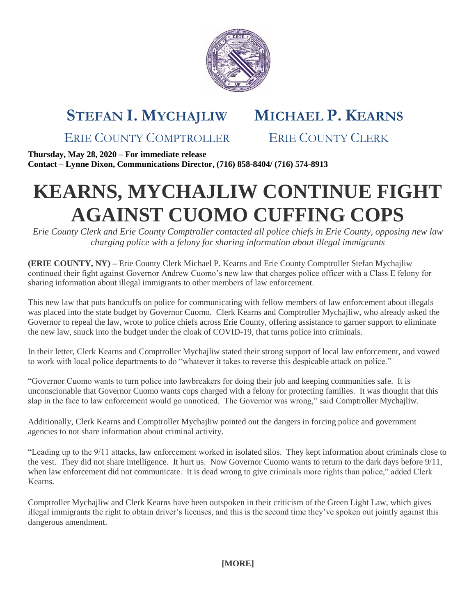

## **STEFAN I. MYCHAJLIW MICHAEL P. KEARNS**

ERIE COUNTY COMPTROLLER ERIE COUNTY CLERK

**Thursday, May 28, 2020 – For immediate release Contact – Lynne Dixon, Communications Director, (716) 858-8404/ (716) 574-8913**

## **KEARNS, MYCHAJLIW CONTINUE FIGHT AGAINST CUOMO CUFFING COPS**

*Erie County Clerk and Erie County Comptroller contacted all police chiefs in Erie County, opposing new law charging police with a felony for sharing information about illegal immigrants*

**(ERIE COUNTY, NY) –** Erie County Clerk Michael P. Kearns and Erie County Comptroller Stefan Mychajliw continued their fight against Governor Andrew Cuomo's new law that charges police officer with a Class E felony for sharing information about illegal immigrants to other members of law enforcement.

This new law that puts handcuffs on police for communicating with fellow members of law enforcement about illegals was placed into the state budget by Governor Cuomo. Clerk Kearns and Comptroller Mychajliw, who already asked the Governor to repeal the law, wrote to police chiefs across Erie County, offering assistance to garner support to eliminate the new law, snuck into the budget under the cloak of COVID-19, that turns police into criminals.

In their letter, Clerk Kearns and Comptroller Mychajliw stated their strong support of local law enforcement, and vowed to work with local police departments to do "whatever it takes to reverse this despicable attack on police."

"Governor Cuomo wants to turn police into lawbreakers for doing their job and keeping communities safe. It is unconscionable that Governor Cuomo wants cops charged with a felony for protecting families. It was thought that this slap in the face to law enforcement would go unnoticed. The Governor was wrong," said Comptroller Mychajliw.

Additionally, Clerk Kearns and Comptroller Mychajliw pointed out the dangers in forcing police and government agencies to not share information about criminal activity.

"Leading up to the 9/11 attacks, law enforcement worked in isolated silos. They kept information about criminals close to the vest. They did not share intelligence. It hurt us. Now Governor Cuomo wants to return to the dark days before 9/11, when law enforcement did not communicate. It is dead wrong to give criminals more rights than police," added Clerk Kearns.

Comptroller Mychajliw and Clerk Kearns have been outspoken in their criticism of the Green Light Law, which gives illegal immigrants the right to obtain driver's licenses, and this is the second time they've spoken out jointly against this dangerous amendment.

**[MORE]**